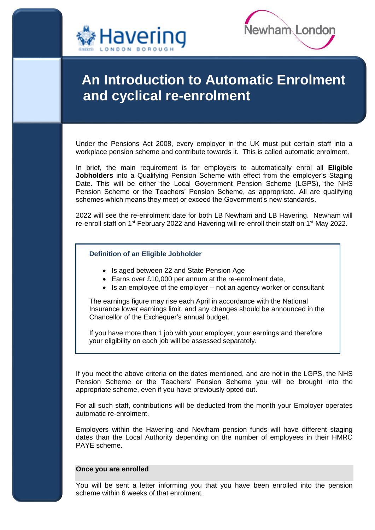



# **An Introduction to Automatic Enrolment and cyclical re-enrolment**

Under the Pensions Act 2008, every employer in the UK must put certain staff into a workplace pension scheme and contribute towards it. This is called automatic enrolment.

In brief, the main requirement is for employers to automatically enrol all **Eligible Jobholders** into a Qualifying Pension Scheme with effect from the employer's Staging Date. This will be either the Local Government Pension Scheme (LGPS), the NHS Pension Scheme or the Teachers' Pension Scheme, as appropriate. All are qualifying schemes which means they meet or exceed the Government's new standards.

2022 will see the re-enrolment date for both LB Newham and LB Havering. Newham will re-enroll staff on 1<sup>st</sup> February 2022 and Havering will re-enroll their staff on 1<sup>st</sup> May 2022.

## **Definition of an Eligible Jobholder**

- Is aged between 22 and State Pension Age
- Earns over £10,000 per annum at the re-enrolment date,
- $\bullet$  Is an employee of the employer not an agency worker or consultant

The earnings figure may rise each April in accordance with the National Insurance lower earnings limit, and any changes should be announced in the Chancellor of the Exchequer's annual budget.

If you have more than 1 job with your employer, your earnings and therefore your eligibility on each job will be assessed separately.

If you meet the above criteria on the dates mentioned, and are not in the LGPS, the NHS Pension Scheme or the Teachers' Pension Scheme you will be brought into the appropriate scheme, even if you have previously opted out.

For all such staff, contributions will be deducted from the month your Employer operates automatic re-enrolment.

Employers within the Havering and Newham pension funds will have different staging dates than the Local Authority depending on the number of employees in their HMRC PAYE scheme.

## **Once you are enrolled**

You will be sent a letter informing you that you have been enrolled into the pension scheme within 6 weeks of that enrolment.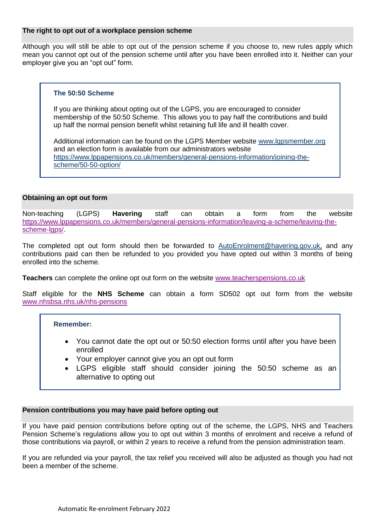# **The right to opt out of a workplace pension scheme**

Although you will still be able to opt out of the pension scheme if you choose to, new rules apply which mean you cannot opt out of the pension scheme until after you have been enrolled into it. Neither can your employer give you an "opt out" form.

## **The 50:50 Scheme**

If you are thinking about opting out of the LGPS, you are encouraged to consider membership of the 50:50 Scheme. This allows you to pay half the contributions and build up half the normal pension benefit whilst retaining full life and ill health cover.

Additional information can be found on the LGPS Member website [www.lgpsmember.org](http://www.lgpsmember.org/) and an election form is available from our administrators website [https://www.lppapensions.co.uk/members/general-pensions-information/joining-the](https://www.lppapensions.co.uk/members/general-pensions-information/joining-the-scheme/50-50-option/)[scheme/50-50-option/](https://www.lppapensions.co.uk/members/general-pensions-information/joining-the-scheme/50-50-option/)

## **Obtaining an opt out form**

Non-teaching (LGPS) **Havering** staff can obtain a form from the website [https://www.lppapensions.co.uk/members/general-pensions-information/leaving-a-scheme/leaving-the](https://www.lppapensions.co.uk/members/general-pensions-information/leaving-a-scheme/leaving-the-scheme-lgps/)[scheme-lgps/.](https://www.lppapensions.co.uk/members/general-pensions-information/leaving-a-scheme/leaving-the-scheme-lgps/)

The completed opt out form should then be forwarded to [AutoEnrolment@havering.gov.uk](mailto:AutoEnrolment@havering.gov.uk), and any contributions paid can then be refunded to you provided you have opted out within 3 months of being enrolled into the scheme.

**Teachers** can complete the online opt out form on the website [www.teacherspensions.co.uk](http://www.teacherspensions.co.uk/)

Staff eligible for the **NHS Scheme** can obtain a form SD502 opt out form from the website [www.nhsbsa.nhs.uk/nhs-pensions](http://www.nhsbsa.nhs.uk/nhs-pensions)

## **Remember:**

- You cannot date the opt out or 50:50 election forms until after you have been enrolled
- Your employer cannot give you an opt out form
- LGPS eligible staff should consider joining the 50:50 scheme as an alternative to opting out

## **Pension contributions you may have paid before opting out**

If you have paid pension contributions before opting out of the scheme, the LGPS, NHS and Teachers Pension Scheme's regulations allow you to opt out within 3 months of enrolment and receive a refund of those contributions via payroll, or within 2 years to receive a refund from the pension administration team.

If you are refunded via your payroll, the tax relief you received will also be adjusted as though you had not been a member of the scheme.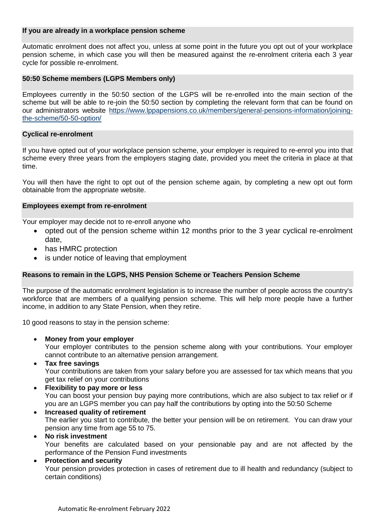# **If you are already in a workplace pension scheme**

Automatic enrolment does not affect you, unless at some point in the future you opt out of your workplace pension scheme, in which case you will then be measured against the re-enrolment criteria each 3 year cycle for possible re-enrolment.

## **50:50 Scheme members (LGPS Members only)**

Employees currently in the 50:50 section of the LGPS will be re-enrolled into the main section of the scheme but will be able to re-join the 50:50 section by completing the relevant form that can be found on our administrators website [https://www.lppapensions.co.uk/members/general-pensions-information/joining](https://www.lppapensions.co.uk/members/general-pensions-information/joining-the-scheme/50-50-option/)[the-scheme/50-50-option/](https://www.lppapensions.co.uk/members/general-pensions-information/joining-the-scheme/50-50-option/)

## **Cyclical re-enrolment**

If you have opted out of your workplace pension scheme, your employer is required to re-enrol you into that scheme every three years from the employers staging date, provided you meet the criteria in place at that time.

You will then have the right to opt out of the pension scheme again, by completing a new opt out form obtainable from the appropriate website.

## **Employees exempt from re-enrolment**

Your employer may decide not to re-enroll anyone who

- opted out of the pension scheme within 12 months prior to the 3 year cyclical re-enrolment date,
- has HMRC protection
- is under notice of leaving that employment

## **Reasons to remain in the LGPS, NHS Pension Scheme or Teachers Pension Scheme**

The purpose of the automatic enrolment legislation is to increase the number of people across the country's workforce that are members of a qualifying pension scheme. This will help more people have a further income, in addition to any State Pension, when they retire.

10 good reasons to stay in the pension scheme:

**Money from your employer**

Your employer contributes to the pension scheme along with your contributions. Your employer cannot contribute to an alternative pension arrangement.

**Tax free savings**

Your contributions are taken from your salary before you are assessed for tax which means that you get tax relief on your contributions

- **Flexibility to pay more or less** You can boost your pension buy paying more contributions, which are also subject to tax relief or if you are an LGPS member you can pay half the contributions by opting into the 50:50 Scheme
- **Increased quality of retirement** The earlier you start to contribute, the better your pension will be on retirement. You can draw your pension any time from age 55 to 75.

## **No risk investment**

Your benefits are calculated based on your pensionable pay and are not affected by the performance of the Pension Fund investments

# **Protection and security**

Your pension provides protection in cases of retirement due to ill health and redundancy (subject to certain conditions)